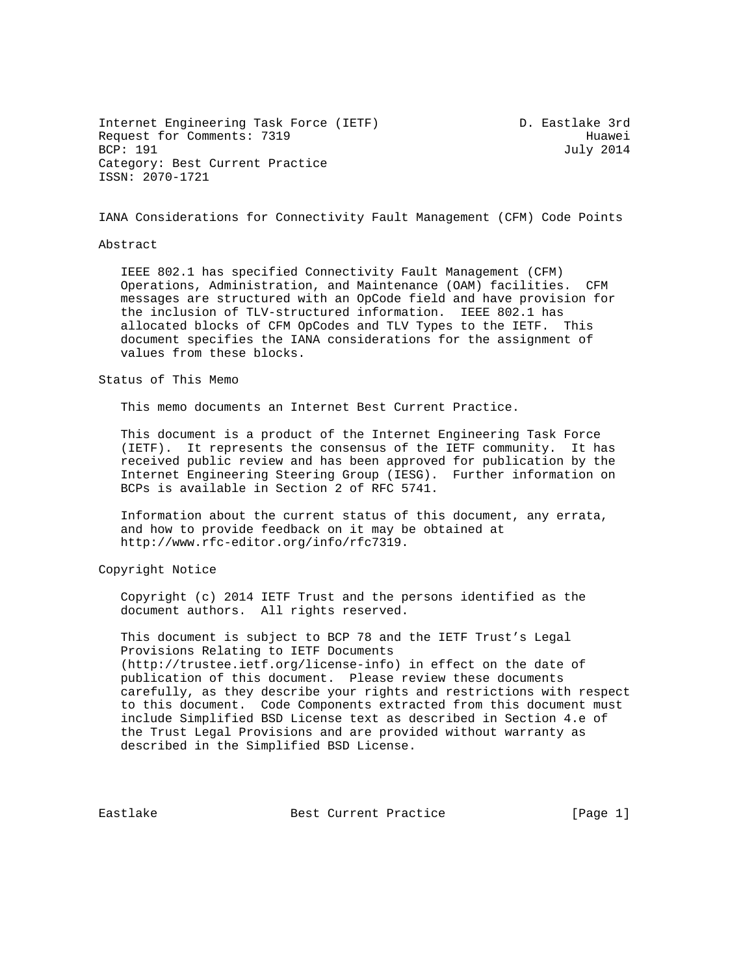Internet Engineering Task Force (IETF) The Mass of D. Eastlake 3rd Request for Comments: 7319<br>BCP: 191 July 2014 Category: Best Current Practice ISSN: 2070-1721

July 2014

IANA Considerations for Connectivity Fault Management (CFM) Code Points

## Abstract

 IEEE 802.1 has specified Connectivity Fault Management (CFM) Operations, Administration, and Maintenance (OAM) facilities. CFM messages are structured with an OpCode field and have provision for the inclusion of TLV-structured information. IEEE 802.1 has allocated blocks of CFM OpCodes and TLV Types to the IETF. This document specifies the IANA considerations for the assignment of values from these blocks.

## Status of This Memo

This memo documents an Internet Best Current Practice.

 This document is a product of the Internet Engineering Task Force (IETF). It represents the consensus of the IETF community. It has received public review and has been approved for publication by the Internet Engineering Steering Group (IESG). Further information on BCPs is available in Section 2 of RFC 5741.

 Information about the current status of this document, any errata, and how to provide feedback on it may be obtained at http://www.rfc-editor.org/info/rfc7319.

## Copyright Notice

 Copyright (c) 2014 IETF Trust and the persons identified as the document authors. All rights reserved.

 This document is subject to BCP 78 and the IETF Trust's Legal Provisions Relating to IETF Documents (http://trustee.ietf.org/license-info) in effect on the date of publication of this document. Please review these documents carefully, as they describe your rights and restrictions with respect to this document. Code Components extracted from this document must include Simplified BSD License text as described in Section 4.e of the Trust Legal Provisions and are provided without warranty as described in the Simplified BSD License.

Eastlake Best Current Practice [Page 1]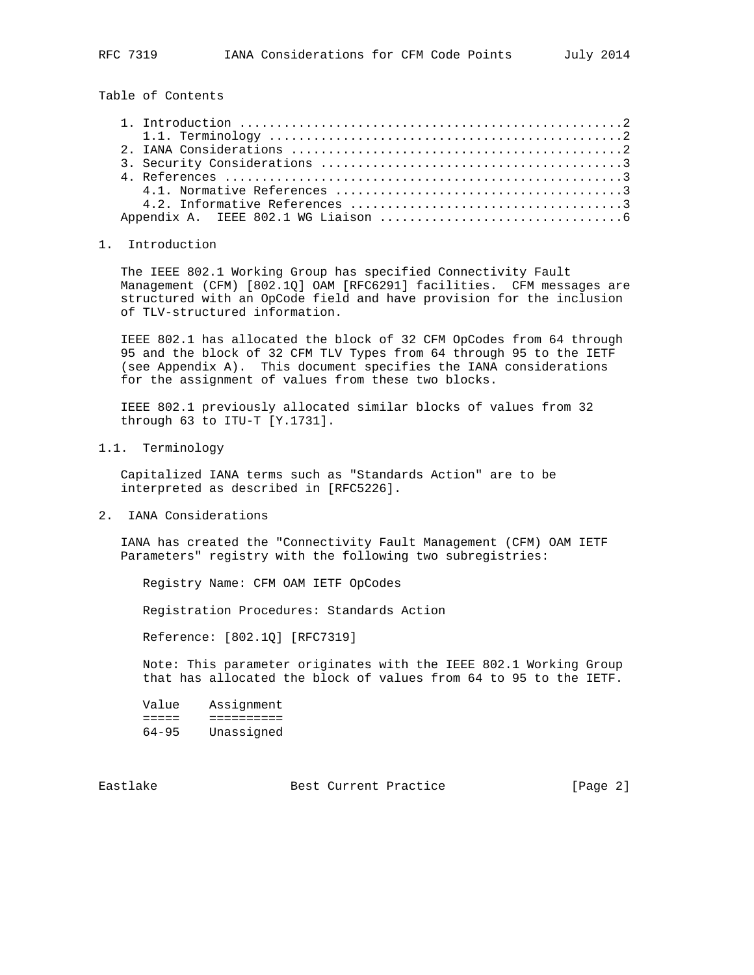Table of Contents

## 1. Introduction

 The IEEE 802.1 Working Group has specified Connectivity Fault Management (CFM) [802.1Q] OAM [RFC6291] facilities. CFM messages are structured with an OpCode field and have provision for the inclusion of TLV-structured information.

 IEEE 802.1 has allocated the block of 32 CFM OpCodes from 64 through 95 and the block of 32 CFM TLV Types from 64 through 95 to the IETF (see Appendix A). This document specifies the IANA considerations for the assignment of values from these two blocks.

 IEEE 802.1 previously allocated similar blocks of values from 32 through 63 to ITU-T [Y.1731].

1.1. Terminology

 Capitalized IANA terms such as "Standards Action" are to be interpreted as described in [RFC5226].

2. IANA Considerations

 IANA has created the "Connectivity Fault Management (CFM) OAM IETF Parameters" registry with the following two subregistries:

Registry Name: CFM OAM IETF OpCodes

Registration Procedures: Standards Action

Reference: [802.1Q] [RFC7319]

 Note: This parameter originates with the IEEE 802.1 Working Group that has allocated the block of values from 64 to 95 to the IETF.

| Value     | Assignment |
|-----------|------------|
|           |            |
| $64 - 95$ | Unassigned |

Eastlake Best Current Practice [Page 2]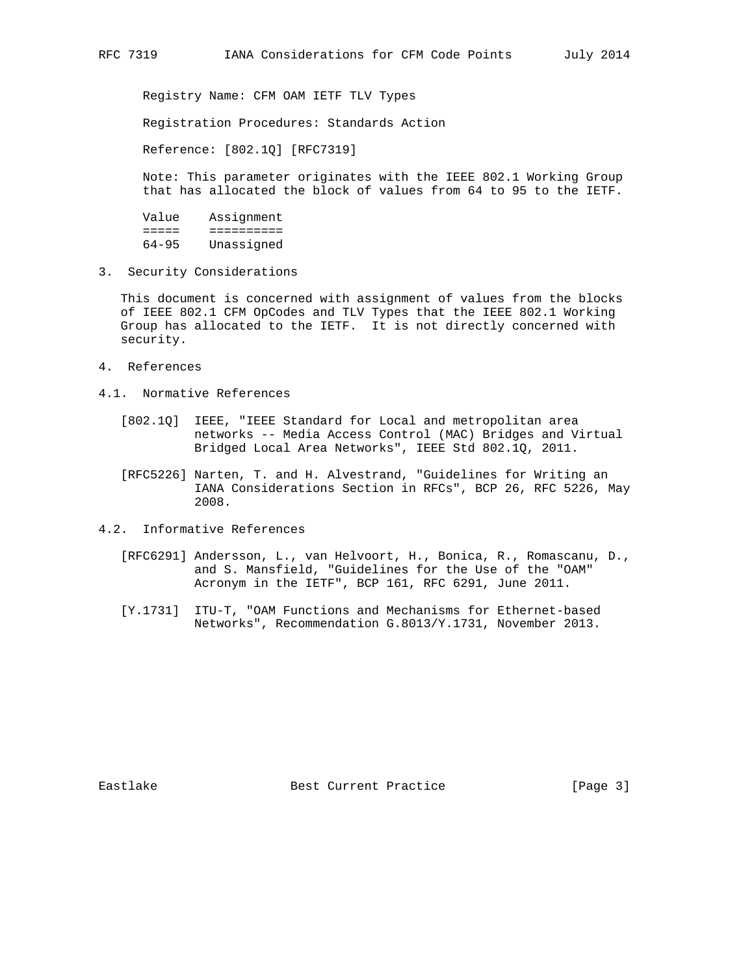Registry Name: CFM OAM IETF TLV Types

Registration Procedures: Standards Action

Reference: [802.1Q] [RFC7319]

 Note: This parameter originates with the IEEE 802.1 Working Group that has allocated the block of values from 64 to 95 to the IETF.

 Value Assignment ===== ========== 64-95 Unassigned

3. Security Considerations

 This document is concerned with assignment of values from the blocks of IEEE 802.1 CFM OpCodes and TLV Types that the IEEE 802.1 Working Group has allocated to the IETF. It is not directly concerned with security.

- 4. References
- 4.1. Normative References
	- [802.1Q] IEEE, "IEEE Standard for Local and metropolitan area networks -- Media Access Control (MAC) Bridges and Virtual Bridged Local Area Networks", IEEE Std 802.1Q, 2011.
	- [RFC5226] Narten, T. and H. Alvestrand, "Guidelines for Writing an IANA Considerations Section in RFCs", BCP 26, RFC 5226, May 2008.
- 4.2. Informative References
	- [RFC6291] Andersson, L., van Helvoort, H., Bonica, R., Romascanu, D., and S. Mansfield, "Guidelines for the Use of the "OAM" Acronym in the IETF", BCP 161, RFC 6291, June 2011.
	- [Y.1731] ITU-T, "OAM Functions and Mechanisms for Ethernet-based Networks", Recommendation G.8013/Y.1731, November 2013.

Eastlake Best Current Practice [Page 3]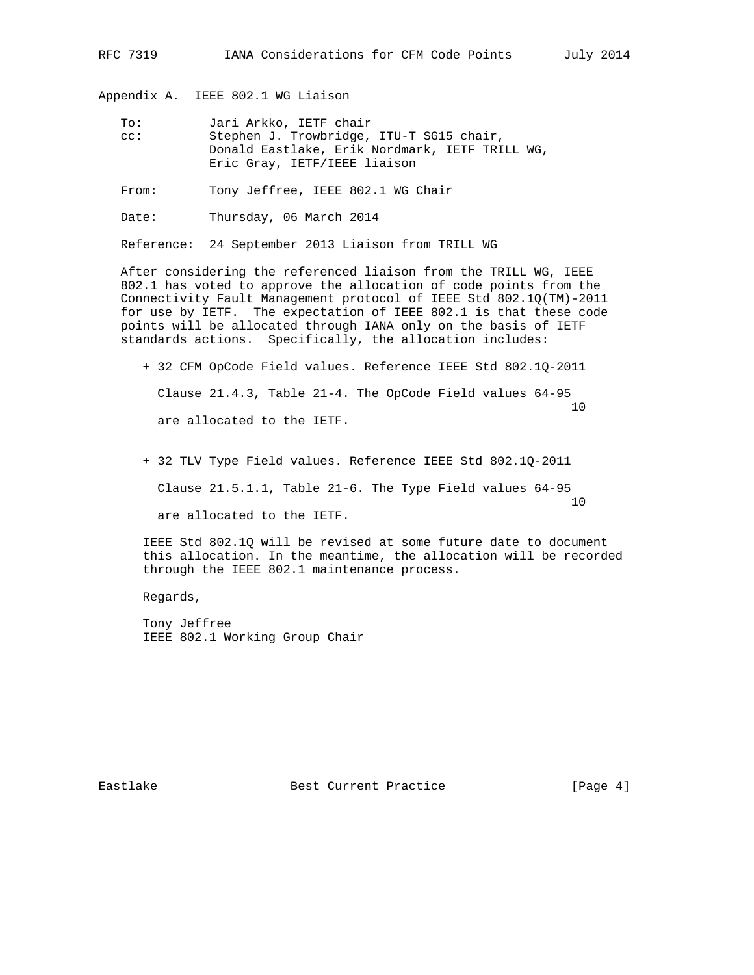Appendix A. IEEE 802.1 WG Liaison

 To: Jari Arkko, IETF chair cc: Stephen J. Trowbridge, ITU-T SG15 chair, Donald Eastlake, Erik Nordmark, IETF TRILL WG, Eric Gray, IETF/IEEE liaison

From: Tony Jeffree, IEEE 802.1 WG Chair

Date: Thursday, 06 March 2014

Reference: 24 September 2013 Liaison from TRILL WG

 After considering the referenced liaison from the TRILL WG, IEEE 802.1 has voted to approve the allocation of code points from the Connectivity Fault Management protocol of IEEE Std 802.1Q(TM)-2011 for use by IETF. The expectation of IEEE 802.1 is that these code points will be allocated through IANA only on the basis of IETF standards actions. Specifically, the allocation includes:

 + 32 CFM OpCode Field values. Reference IEEE Std 802.1Q-2011 Clause 21.4.3, Table 21-4. The OpCode Field values 64-95 10 are allocated to the IETF.

 + 32 TLV Type Field values. Reference IEEE Std 802.1Q-2011 Clause 21.5.1.1, Table 21-6. The Type Field values 64-95 10 are allocated to the IETF.

 IEEE Std 802.1Q will be revised at some future date to document this allocation. In the meantime, the allocation will be recorded through the IEEE 802.1 maintenance process.

Regards,

 Tony Jeffree IEEE 802.1 Working Group Chair

Eastlake Best Current Practice [Page 4]